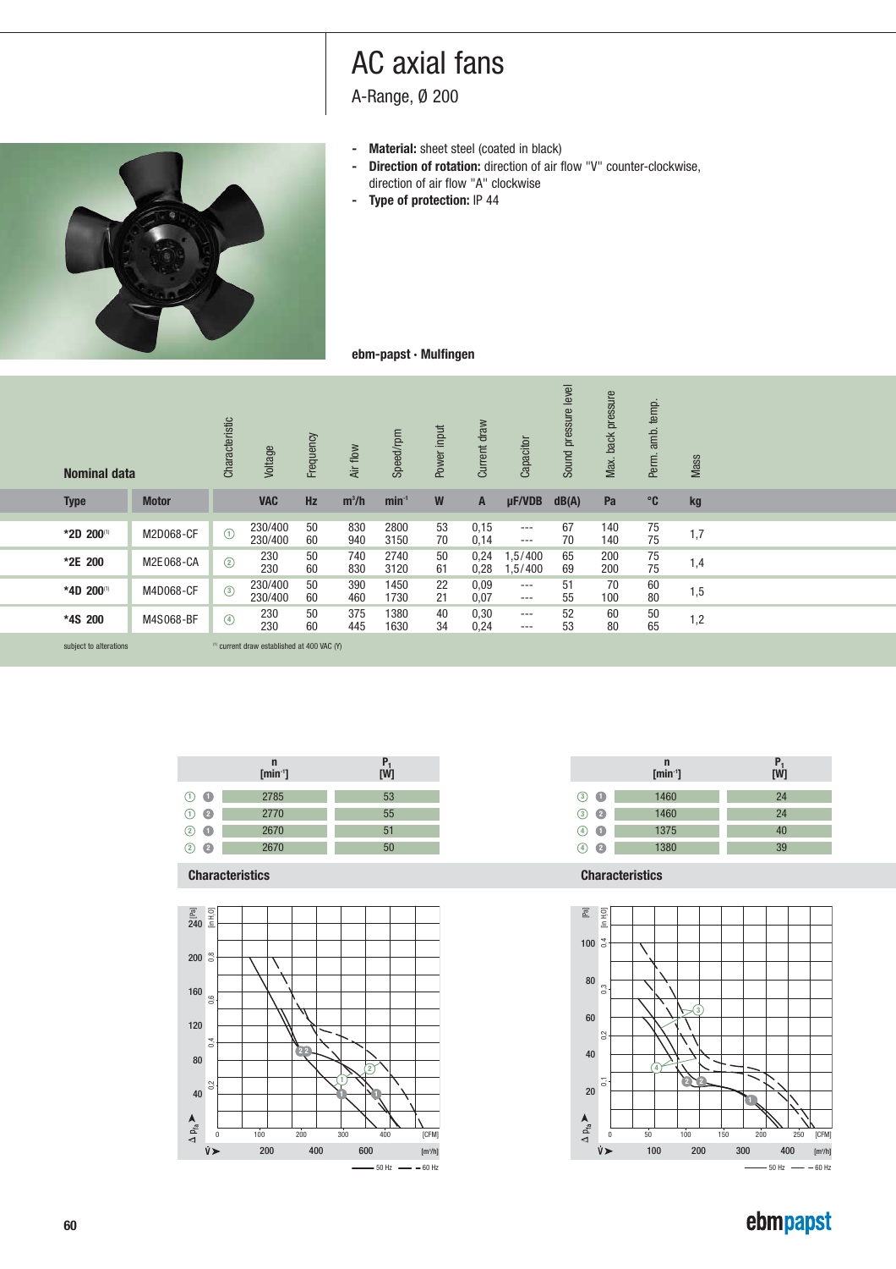A-Range, Ø 200

- 
- **- Material:** sheet steel (coated in black)<br>**- Direction of rotation:** direction of air f **Direction of rotation:** direction of air flow "V" counter-clockwise, direction of air flow "A" clockwise
- **Type of protection:** IP 44



### **ebm-papst · Mulfingen**

| <b>Nominal data</b>    |              | Characteristic | Voltage                                                | Frequency | Air flow   | Speed/rpm    | Power input | Current draw | Capacitor            | level<br>Sound pressure | back pressure<br>Max. | temp.<br>amb.<br>Perm. | <b>Mass</b> |  |
|------------------------|--------------|----------------|--------------------------------------------------------|-----------|------------|--------------|-------------|--------------|----------------------|-------------------------|-----------------------|------------------------|-------------|--|
| <b>Type</b>            | <b>Motor</b> |                | <b>VAC</b>                                             | <b>Hz</b> | $m^3/h$    | $min-1$      | W           | A            | $\mu$ F/VDB          | dB(A)                   | Pa                    | $^{\circ}$ C           | kg          |  |
| *2D 200(1)             | M2D068-CF    | $\odot$        | 230/400<br>230/400                                     | 50<br>60  | 830<br>940 | 2800<br>3150 | 53<br>70    | 0,15<br>0,14 | $\cdots$<br>$\cdots$ | 67<br>70                | 140<br>140            | 75<br>75               | 1,7         |  |
| *2E 200                | M2E068-CA    | $\circled{2}$  | 230<br>230                                             | 50<br>60  | 740<br>830 | 2740<br>3120 | 50<br>61    | 0,24<br>0,28 | 1,5/400<br>.5/400    | 65<br>69                | 200<br>200            | 75<br>75               | 1,4         |  |
| *4D 200(1)             | M4D068-CF    | $\circled{3}$  | 230/400<br>230/400                                     | 50<br>60  | 390<br>460 | 1450<br>1730 | 22<br>21    | 0,09<br>0,07 | $\cdots$<br>$\cdots$ | 51<br>55                | 70<br>100             | 60<br>80               | 1,5         |  |
| *4S 200                | M4S068-BF    | $\circledcirc$ | 230<br>230                                             | 50<br>60  | 375<br>445 | 1380<br>1630 | 40<br>34    | 0,30<br>0,24 | $---$<br>$---$       | 52<br>53                | 60<br>80              | 50<br>65               | 1,2         |  |
| subject to alterations |              |                | <sup>(1)</sup> current draw established at 400 VAC (Y) |           |            |              |             |              |                      |                         |                       |                        |             |  |

|                       | $\mathsf{n}$<br>$\overline{\text{[min~]}}$ | P,<br>[W] |
|-----------------------|--------------------------------------------|-----------|
| $(1)$ $\bullet$       | 2785                                       | 53        |
| $\bullet$<br>(1)      | 2770                                       | 55        |
| $\blacksquare$<br>(2) | 2670                                       | 51        |
| n<br>2                | 2670                                       | 50        |

**Characteristics Characteristics**





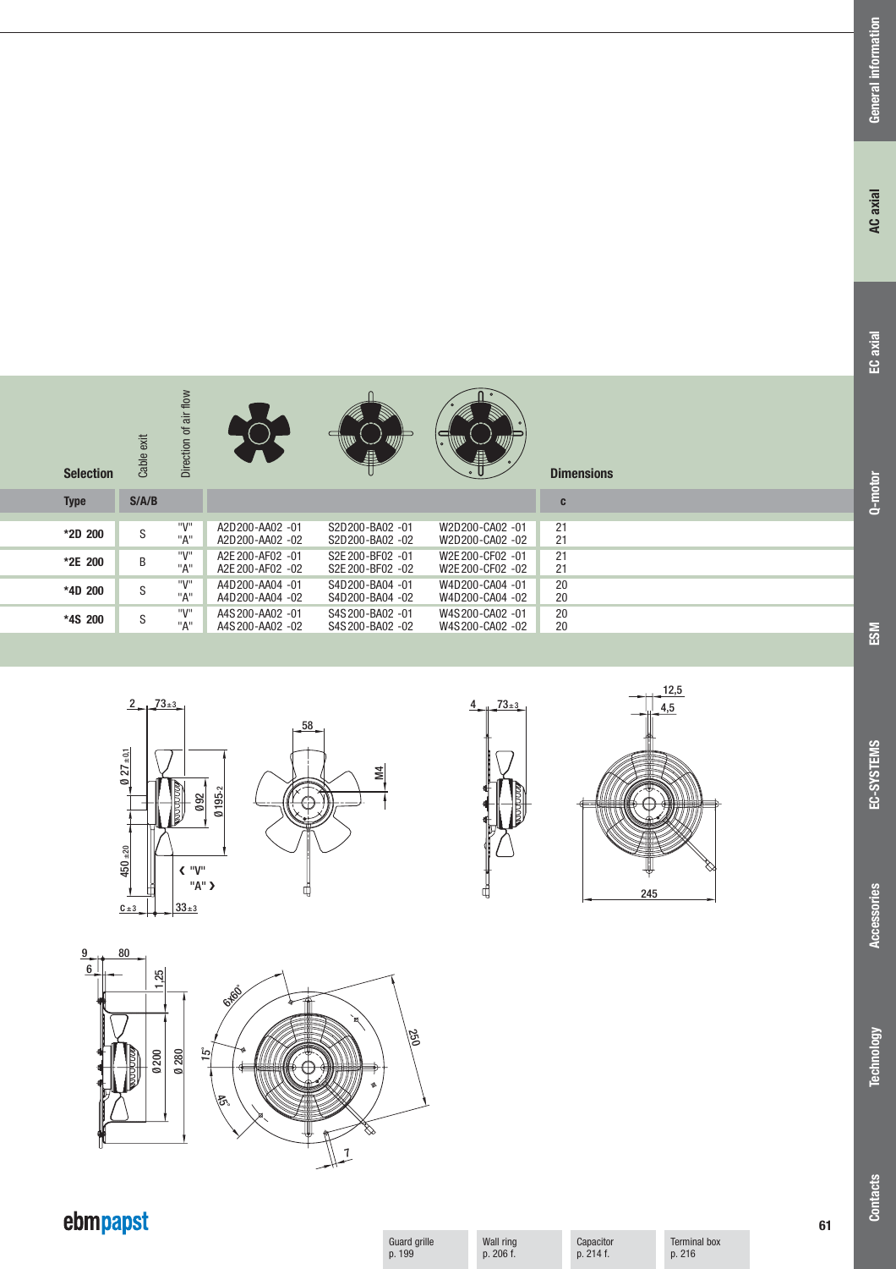| <b>Selection</b> | Cable exit | air flow<br>đ<br>Direction |                                      | A                                    | A                                    | <b>Dimensions</b> |  |
|------------------|------------|----------------------------|--------------------------------------|--------------------------------------|--------------------------------------|-------------------|--|
| <b>Type</b>      | S/AB       |                            |                                      |                                      |                                      | C                 |  |
| *2D 200          | S          | "V"<br>"A"                 | A2D200-AA02 -01<br>A2D200-AA02 -02   | S2D200-BA02 -01<br>S2D200-BA02 -02   | W2D200-CA02 -01<br>W2D200-CA02 -02   | 21<br>21          |  |
| *2E 200          | B          | "V"<br>"A"                 | A2E 200-AF02 -01<br>A2E 200-AF02 -02 | S2E 200-BF02 -01<br>S2E 200-BF02 -02 | W2E 200-CF02 -01<br>W2E 200-CF02 -02 | 21<br>21          |  |
| *4D 200          | S          | "V"<br>"A"                 | A4D200-AA04 -01<br>A4D200-AA04 -02   | S4D200-BA04 -01<br>S4D200-BA04 -02   | W4D200-CA04 -01<br>W4D200-CA04 -02   | 20<br>20          |  |
| *4S 200          | S          | "V"<br>"A"                 | A4S 200-AA02 -01<br>A4S 200-AA02 -02 | S4S 200-BA02 -01<br>S4S 200-BA02 -02 | W4S200-CA02 -01<br>W4S200-CA02 -02   | 20<br>20          |  |

 $\cap$ 







 $\sqrt{ }$ 





# ebmpapst

Guard grille p. 199

Wall ring p. 206 f.

Capacitor p. 214 f.

Terminal box p. 216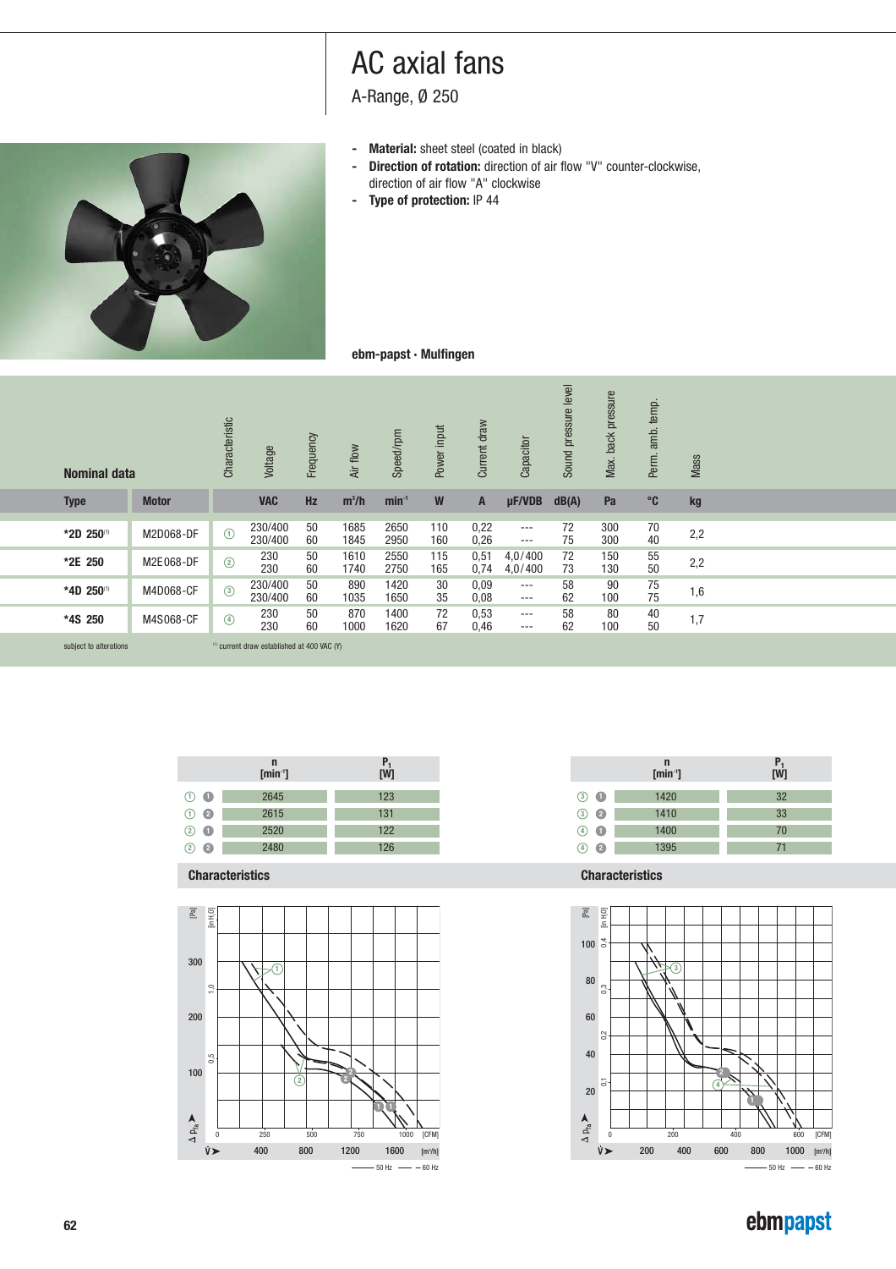A-Range, Ø 250

- 
- **- Material:** sheet steel (coated in black)<br>**- Direction of rotation:** direction of air f **- Direction of rotation:** direction of air flow "V" counter-clockwise, direction of air flow "A" clockwise
- **Type of protection:** IP 44



## **ebm-papst · Mulfingen**

| <b>Nominal data</b>    |              | Characteristic | Voltage                                     | Frequency | Air flow     | Speed/rpm    | Power input | Current draw | Capacitor            | Sound pressure level | back pressure<br>Max. | temp.<br>amb.<br>Perm. | <b>Mass</b> |  |
|------------------------|--------------|----------------|---------------------------------------------|-----------|--------------|--------------|-------------|--------------|----------------------|----------------------|-----------------------|------------------------|-------------|--|
| <b>Type</b>            | <b>Motor</b> |                | <b>VAC</b>                                  | <b>Hz</b> | $m^3/h$      | $min-1$      | W           | A            | $\mu$ F/VDB          | dB(A)                | Pa                    | $^{\circ}$ C           | kg          |  |
| *2D 250(1)             | M2D068-DF    | $\odot$        | 230/400<br>230/400                          | 50<br>60  | 1685<br>1845 | 2650<br>2950 | 110<br>160  | 0,22<br>0,26 | $\cdots$<br>$\cdots$ | 72<br>75             | 300<br>300            | 70<br>40               | 2,2         |  |
| *2E 250                | M2E068-DF    | $\circled{2}$  | 230<br>230                                  | 50<br>60  | 1610<br>1740 | 2550<br>2750 | 115<br>165  | 0,51<br>0,74 | 4,0/400<br>4,0/400   | 72<br>73             | 150<br>130            | 55<br>50               | 2,2         |  |
| *4D 250(1)             | M4D068-CF    | $\circled{3}$  | 230/400<br>230/400                          | 50<br>60  | 890<br>1035  | 1420<br>1650 | 30<br>35    | 0,09<br>0,08 | $\cdots$<br>$\cdots$ | 58<br>62             | 90<br>100             | 75<br>75               | 1,6         |  |
| *4S 250                | M4S068-CF    | $\circled{4}$  | 230<br>230                                  | 50<br>60  | 870<br>1000  | 1400<br>1620 | 72<br>67    | 0,53<br>0,46 | $---$<br>$---$       | 58<br>62             | 80<br>100             | 40<br>50               | 1,7         |  |
| subject to alterations |              |                | (1) current draw established at 400 VAC (Y) |           |              |              |             |              |                      |                      |                       |                        |             |  |

|                      | n<br>$\overline{\text{[min~]}}$ | $P_1$<br>[W] |
|----------------------|---------------------------------|--------------|
| $\odot$ $\bullet$    | 2645                            | 123          |
| - 2<br>(1)           | 2615                            | 131          |
| (2)<br>$\bullet$     | 2520                            | 122          |
| Ø.<br>$\overline{2}$ | 2480                            | 126          |

**Characteristics Characteristics**





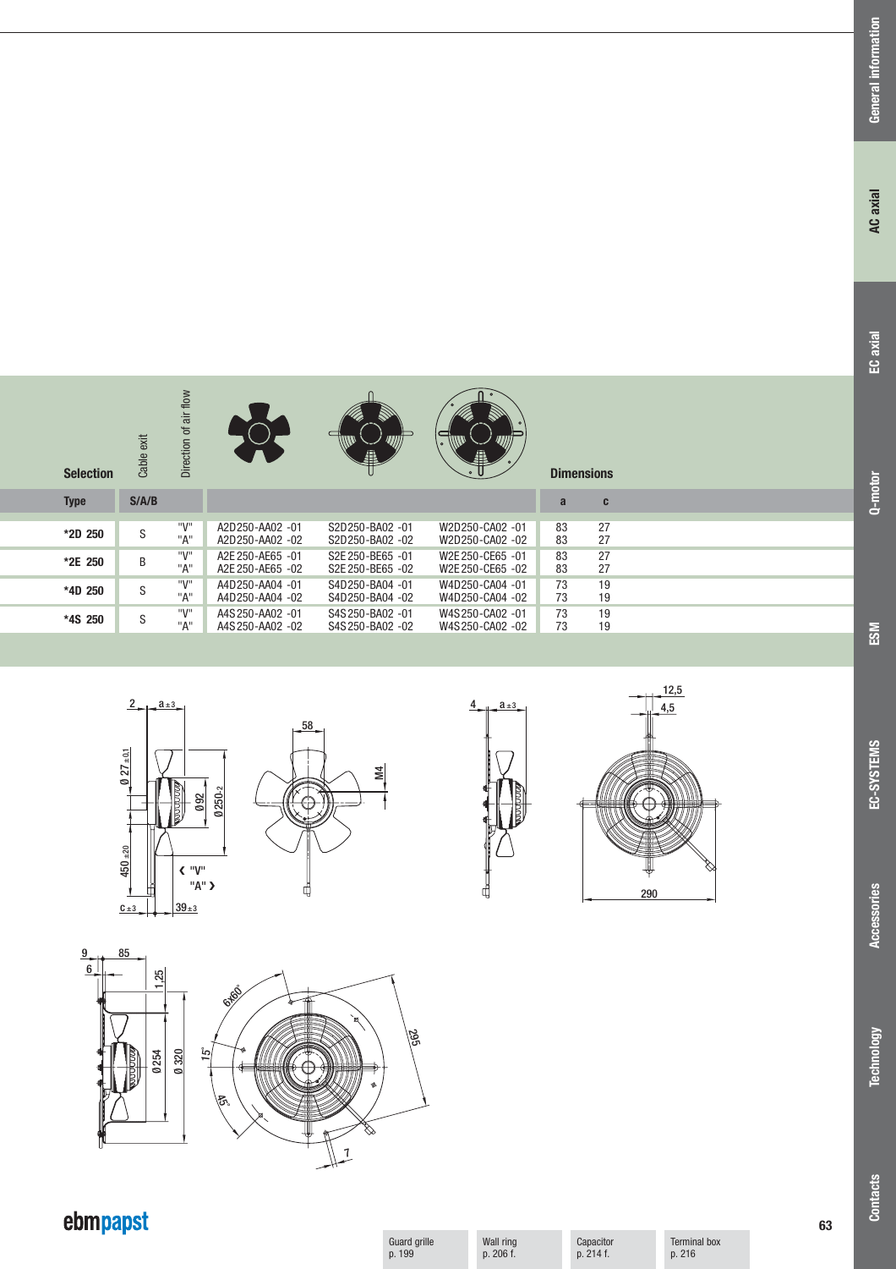| <b>Selection</b> | Cable exit | Direction of air flow |                  | 飍                | $\circ$<br>A     | <b>Dimensions</b> |    |  |
|------------------|------------|-----------------------|------------------|------------------|------------------|-------------------|----|--|
| <b>Type</b>      | S/ A/B     |                       |                  |                  |                  | a                 | C  |  |
|                  |            |                       |                  |                  |                  |                   |    |  |
| *2D 250          | S          | "V"                   | A2D250-AA02 -01  | S2D250-BA02 -01  | W2D250-CA02 -01  | 83                | 27 |  |
|                  |            | "A"                   | A2D250-AA02 -02  | S2D250-BA02 -02  | W2D250-CA02 -02  | 83                | 27 |  |
|                  |            | "V"                   | A2E 250-AE65 -01 | S2E 250-BE65 -01 | W2E 250-CE65 -01 | 83                | 27 |  |
| *2E 250          | B          | "A"                   | A2E 250-AE65 -02 | S2E 250-BE65 -02 | W2E 250-CE65 -02 | 83                | 27 |  |
|                  |            |                       |                  |                  |                  |                   |    |  |
| *4D 250          | S          | "V"                   | A4D250-AA04 -01  | S4D250-BA04 -01  | W4D250-CA04 -01  | 73                | 19 |  |
|                  |            | "A"                   | A4D250-AA04 -02  | S4D250-BA04 -02  | W4D250-CA04 -02  | 73                | 19 |  |
|                  |            | "V"                   | A4S 250-AA02 -01 | S4S 250-BA02 -01 | W4S250-CA02 -01  | 73                | 19 |  |
| *4S 250          | S          | "A"                   | A4S 250-AA02 -02 | S4S 250-BA02 -02 | W4S250-CA02 -02  | 73                | 19 |  |
|                  |            |                       |                  |                  |                  |                   |    |  |











# ebmpapst

Guard grille p. 199

Wall ring p. 206 f.

Capacitor p. 214 f.

Terminal box p. 216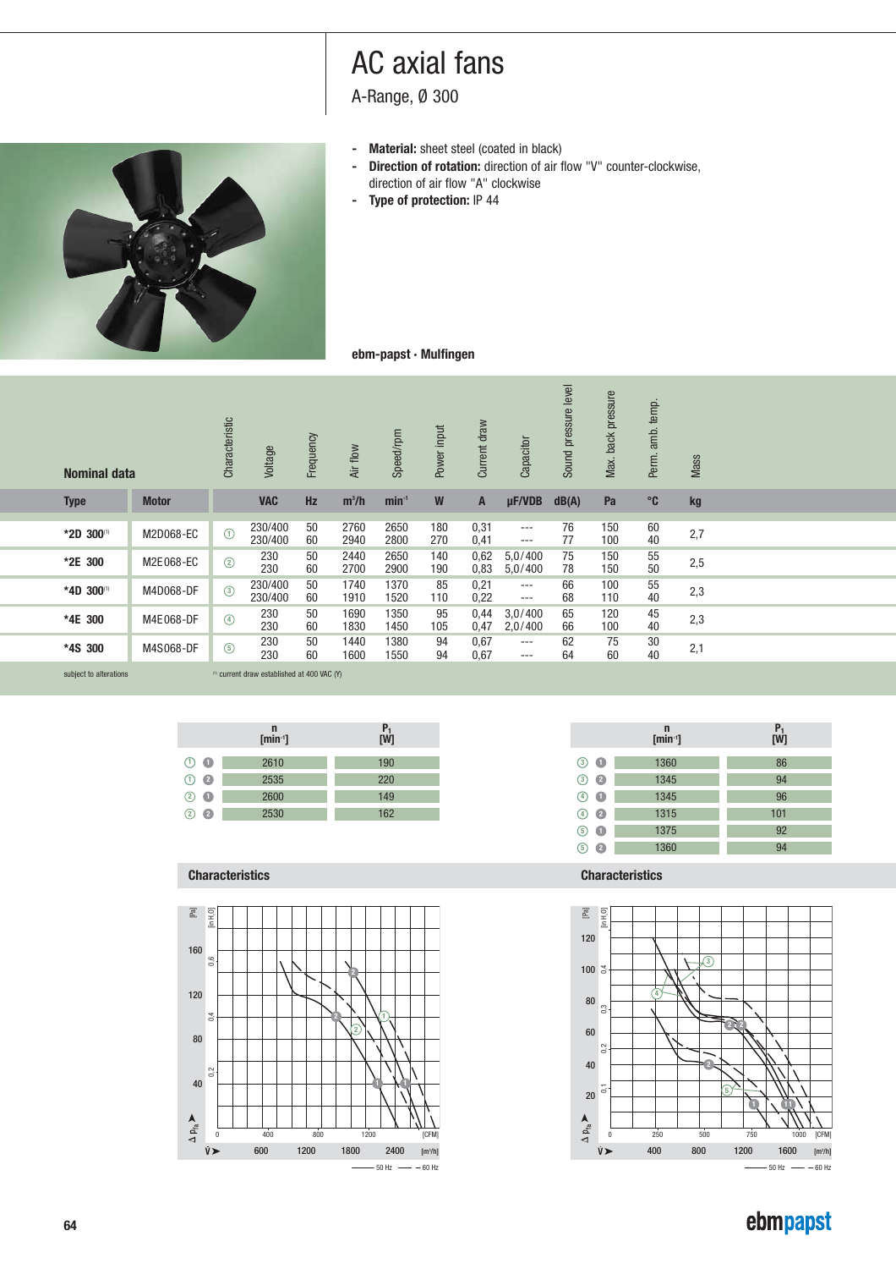A-Range, Ø 300

- 
- **- Material:** sheet steel (coated in black)<br>**- Direction of rotation:** direction of air f **Direction of rotation:** direction of air flow "V" counter-clockwise, direction of air flow "A" clockwise
- **Type of protection:** IP 44



## **ebm-papst · Mulfingen**

| <b>Nominal data</b> |              | Characteristic | Voltage            | Frequency | Air flow     | Speed/rpm    | Power input | Current draw | Capacitor            | pressure level<br>Sound | back pressure<br>Max. | temp.<br>amb.<br>Perm. | <b>Mass</b> |  |
|---------------------|--------------|----------------|--------------------|-----------|--------------|--------------|-------------|--------------|----------------------|-------------------------|-----------------------|------------------------|-------------|--|
| <b>Type</b>         | <b>Motor</b> |                | <b>VAC</b>         | <b>Hz</b> | $m^3/h$      | $min-1$      | W           | A            | $\mu$ F/VDB          | dB(A)                   | Pa                    | $^{\circ}$ C           | kg          |  |
| *2D 300(1)          | M2D068-EC    | $\odot$        | 230/400<br>230/400 | 50<br>60  | 2760<br>2940 | 2650<br>2800 | 180<br>270  | 0,31<br>0,41 | $- - -$<br>$---$     | 76<br>77                | 150<br>100            | 60<br>40               | 2,7         |  |
| *2E 300             | M2E068-EC    | $\circled{2}$  | 230<br>230         | 50<br>60  | 2440<br>2700 | 2650<br>2900 | 140<br>190  | 0,62<br>0,83 | 5,0/400<br>5,0/400   | 75<br>78                | 150<br>150            | 55<br>50               | 2,5         |  |
| *4D 300(1)          | M4D068-DF    | $\circled{3}$  | 230/400<br>230/400 | 50<br>60  | 1740<br>1910 | 1370<br>1520 | 85<br>110   | 0,21<br>0,22 | $\cdots$<br>$\cdots$ | 66<br>68                | 100<br>110            | 55<br>40               | 2,3         |  |
| *4E 300             | M4E068-DF    | $\circled{4}$  | 230<br>230         | 50<br>60  | 1690<br>1830 | 1350<br>1450 | 95<br>105   | 0,44<br>0,47 | 3,0/400<br>2,0/400   | 65<br>66                | 120<br>100            | 45<br>40               | 2,3         |  |
| *4S 300             | M4S068-DF    | $\circled{5}$  | 230<br>230         | 50<br>60  | 1440<br>1600 | 1380<br>1550 | 94<br>94    | 0,67<br>0,67 | $\cdots$<br>$---$    | 62<br>64                | 75<br>60              | 30<br>40               | 2,1         |  |
|                     |              |                |                    |           |              |              |             |              |                      |                         |                       |                        |             |  |

subject to alterations  $\hfill\raisebox{12pt}{$\scriptstyle\mbox{on}$}$  current draw established at 400 VAC (Y)

|                   | n<br>$[min^{-1}]$ | $P_1$<br>[W] |
|-------------------|-------------------|--------------|
| $\odot$ $\bullet$ | 2610              | 190          |
| $\odot$ $\odot$   | 2535              | 220          |
| $(2)$ $\bullet$   | 2600              | 149          |
| $(2)$ $\bullet$   | 2530              | 162          |
|                   |                   |              |

### **Characteristics Characteristics**







 $-50$  Hz  $-60$  Hz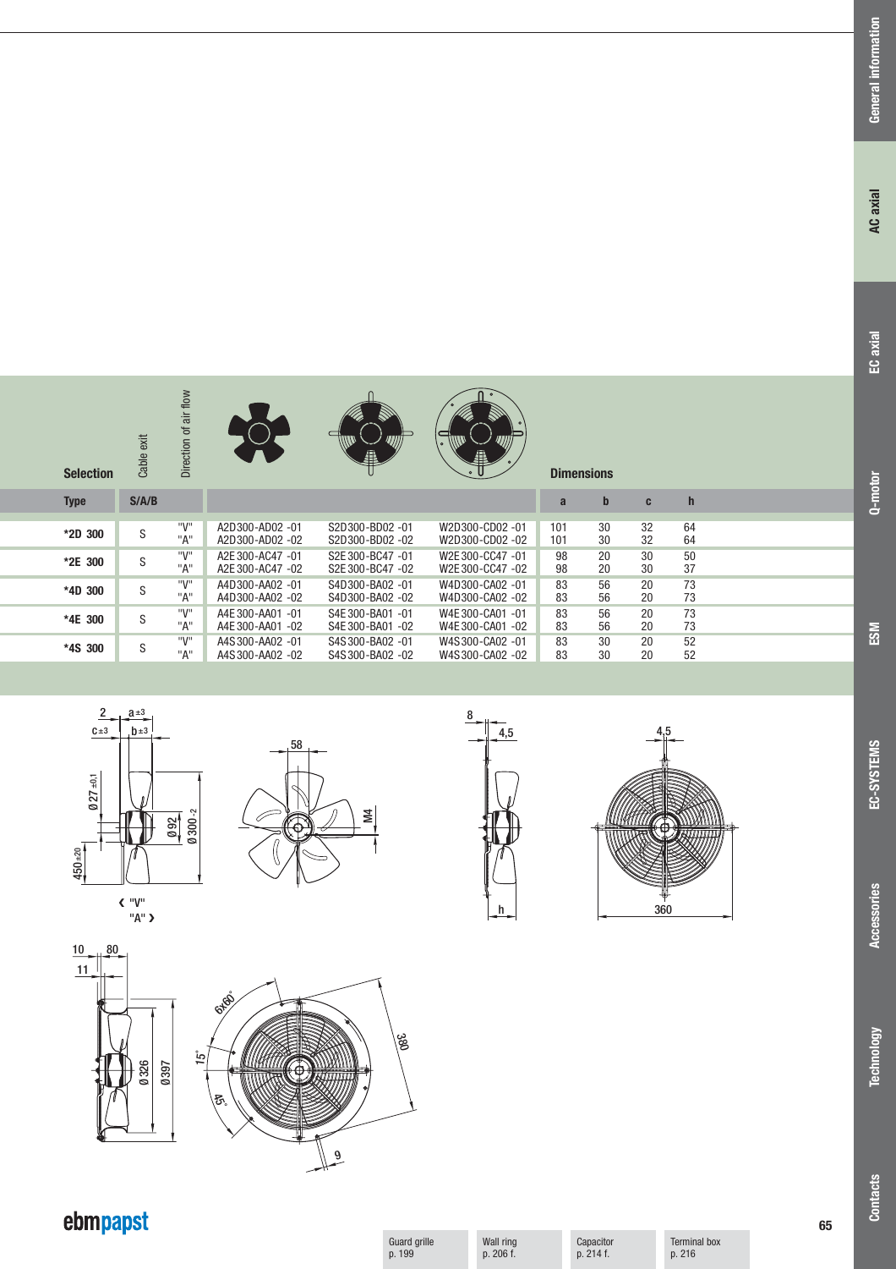**Accessories**

Accessories







Cable exit

**S/A/B**

S S S S S

 $c±3$   $b±3$  $2^{4}$ 

**Type**

**\*2D 300 \*2E 300 \*4D 300 \*4E 300 \*4S 300** Direction of air flow

"V" "A" "V" "A" "V" "A" "V" "A" "V" "A"



A2D300-AD02 -01 S2D300-BD02 -01 W2D300-CD02 -01 A2D300-AD02 -02 S2D300-BD02 -02 W2D300-CD02 -02 A2E 300-AC47 -01 S2E 300-BC47 -01 W2E 300-CC47 -01 A2E 300-AC47 -02 S2E 300-BC47 -02 W2E 300-CC47 -02 A4D300-AA02 -01 S4D300-BA02 -01 W4D300-CA02 -01

**Selection Dimensions**

A4E 300-AA01 -01 S4E 300-BA01 -01 W4E 300-CA01 -01

A4S300-AA02 -01 S4S300-BA02 -01 W4S300-CA02 -01



W4D300-CA02 -02

W4E 300-CA01 -02

W4S300-CA02 -02



**abch**

101 30 32 64 101 30 32 64<br>
98 20 30 50<br>
98 20 30 37  $\frac{30}{30}$ 98 20 30 50<br>98 20 30 37<br>83 56 20 73 83 56 20 73 83 56 20 73 83 56 20 73 83 56 20 73 83 30 20 52 83 30 20 52



| 4,5             |
|-----------------|
|                 |
|                 |
|                 |
|                 |
|                 |
|                 |
|                 |
|                 |
|                 |
|                 |
|                 |
|                 |
|                 |
| Ê               |
| r               |
| ┇               |
|                 |
| $\frac{9}{360}$ |
|                 |

| ź<br>Þ<br>↘<br>Ħ |  |
|------------------|--|
| 360              |  |



Guard grille p. 199

Wall ring p. 206 f.

| ebmpapst |  |
|----------|--|
|          |  |

Capacitor p. 214 f.

Terminal box p. 216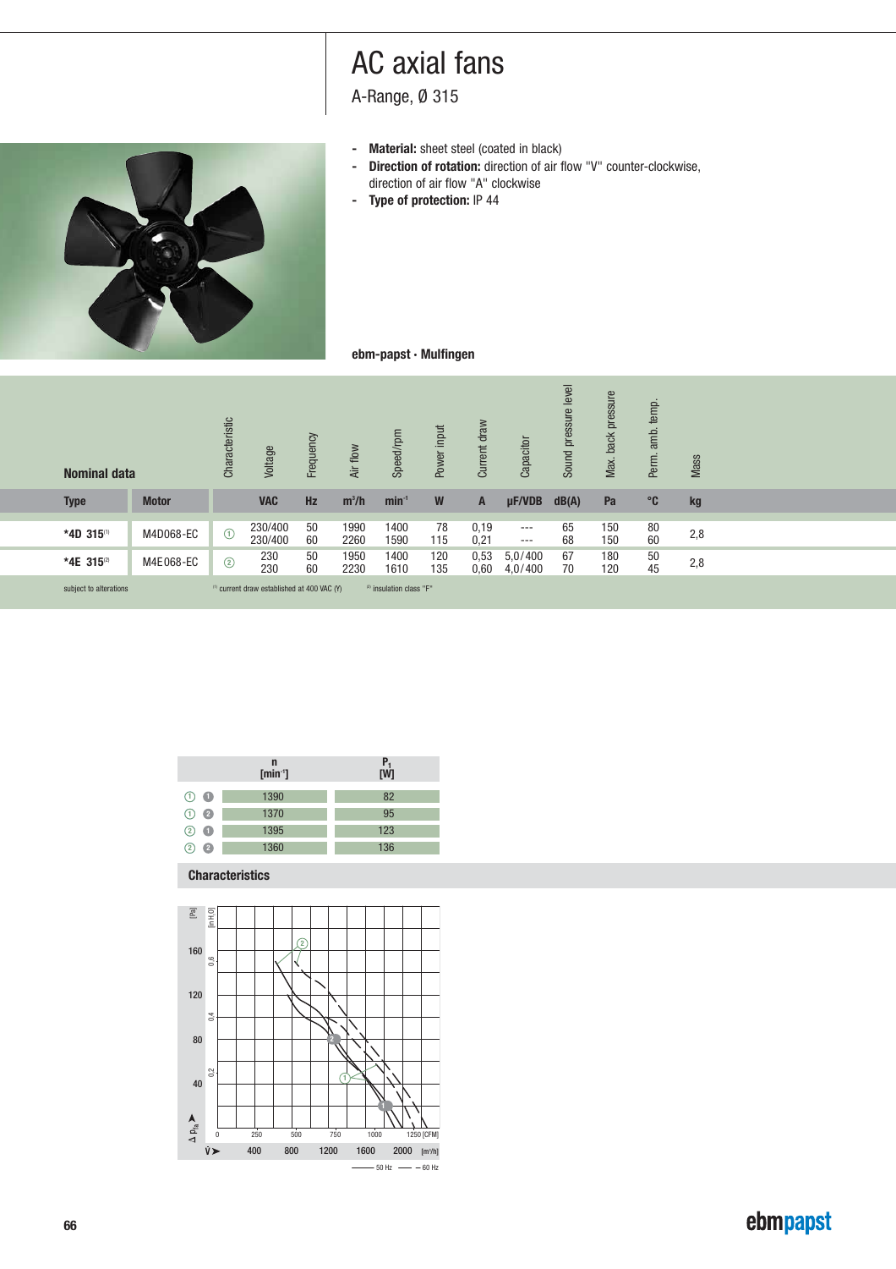A-Range, Ø 315

- 
- **- Material:** sheet steel (coated in black)<br>**- Direction of rotation:** direction of air f **- Direction of rotation:** direction of air flow "V" counter-clockwise, direction of air flow "A" clockwise
- **Type of protection:** IP 44



## **ebm-papst · Mulfingen**

| <b>Nominal data</b>    |                       | Characteristic | Voltage                                                | Frequency | Air flow     | Speed/rpm                                | Power input | Current draw | Capacitor                                            | Sound pressure level | Max. back pressure | Perm. amb. temp. | Mass |
|------------------------|-----------------------|----------------|--------------------------------------------------------|-----------|--------------|------------------------------------------|-------------|--------------|------------------------------------------------------|----------------------|--------------------|------------------|------|
| <b>Type</b>            | <b>Motor</b>          |                | <b>VAC</b>                                             | Hz        | $m^3/h$      | $min-1$                                  | W           | A            | $\mu$ F/VDB                                          | dB(A)                | Pa                 | $^{\circ}$ C     | kg   |
| *4D 315(1)             | M4D068-EC             | $\odot$        | 230/400<br>230/400                                     | 50<br>60  | 1990<br>2260 | 1400<br>1590                             | 78<br>115   | 0,19<br>0,21 | $\cdots$<br>$\hspace{0.05cm} \ldots \hspace{0.05cm}$ | 65<br>68             | 150<br>150         | 80<br>60         | 2,8  |
| *4E 315(2)             | M4E068-EC             | $\circled{2}$  | 230<br>230                                             | 50<br>60  | 1950<br>2230 | 1400<br>1610                             | 120<br>135  | 0,53<br>0,60 | 5,0/400<br>4,0/400                                   | 67<br>70             | 180<br>120         | $\frac{50}{45}$  | 2,8  |
| subject to alterations |                       |                | <sup>(1)</sup> current draw established at 400 VAC (Y) |           |              | <sup>(2)</sup> insulation class "F"      |             |              |                                                      |                      |                    |                  |      |
|                        |                       |                |                                                        |           |              |                                          |             |              |                                                      |                      |                    |                  |      |
|                        |                       |                |                                                        |           |              |                                          |             |              |                                                      |                      |                    |                  |      |
|                        |                       |                |                                                        |           |              |                                          |             |              |                                                      |                      |                    |                  |      |
|                        |                       |                |                                                        |           |              |                                          |             |              |                                                      |                      |                    |                  |      |
|                        |                       |                | $\mathbf n$                                            |           |              |                                          |             |              |                                                      |                      |                    |                  |      |
|                        |                       |                | $[min^{-1}]$                                           |           |              | $\begin{bmatrix} P_1 \\ W \end{bmatrix}$ |             |              |                                                      |                      |                    |                  |      |
|                        | $\bigcirc$ $\bigcirc$ |                | 1390                                                   |           |              | 82                                       |             |              |                                                      |                      |                    |                  |      |

|                   | n<br>$[min^{-1}]$ | $P_1$<br>[W] |  |  |  |  |  |
|-------------------|-------------------|--------------|--|--|--|--|--|
| $\odot$ $\bullet$ | 1390              | 82           |  |  |  |  |  |
| $\odot$ $\odot$   | 1370              | 95           |  |  |  |  |  |
| $(2)$ $\bullet$   | 1395              | 123          |  |  |  |  |  |
| Ø<br>$^{(2)}$     | 1360              | 136          |  |  |  |  |  |

### **Characteristics**

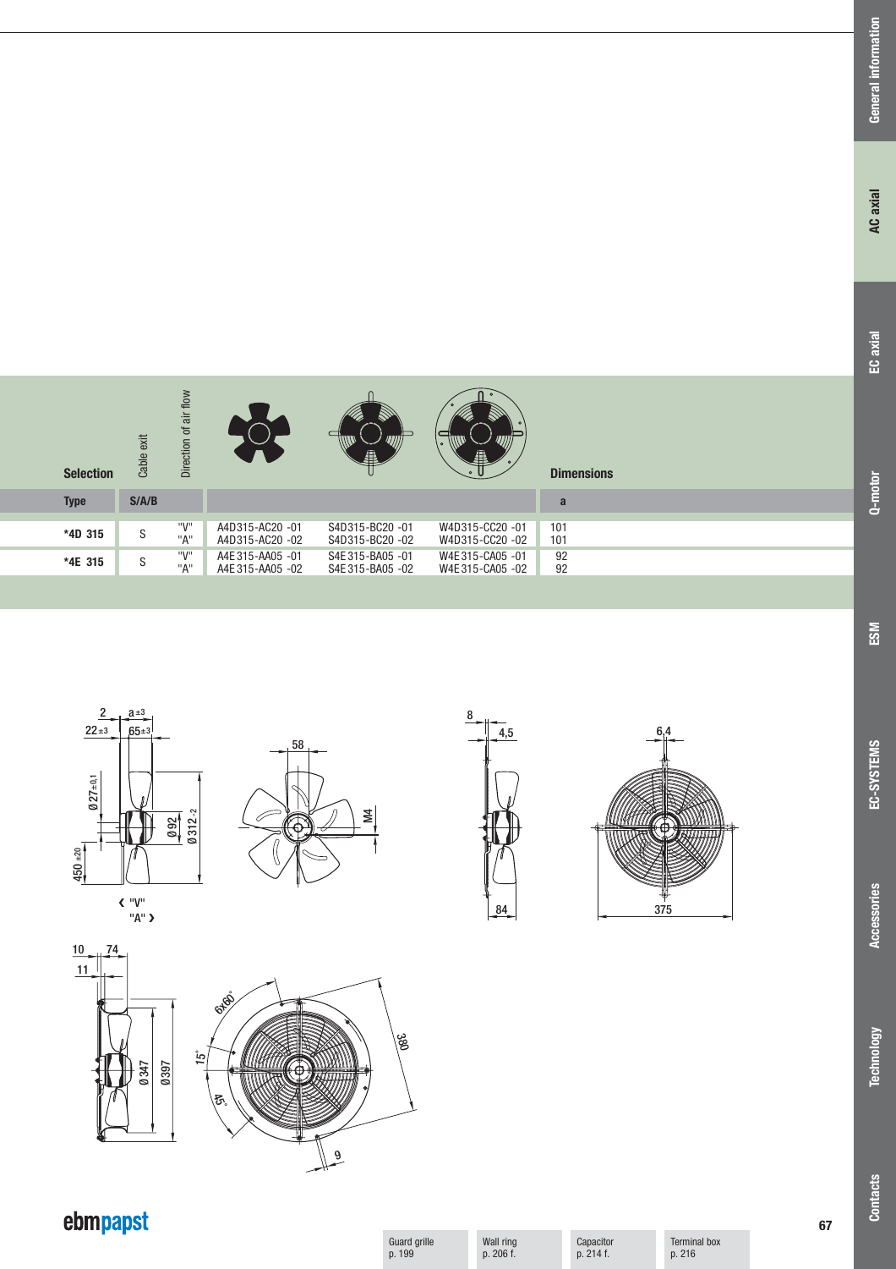| <b>Selection</b> | exit<br>Cable | flow<br>iā<br>৳<br>Direction |                  | Ä                | $\circ$<br>A    | <b>Dimensions</b> |
|------------------|---------------|------------------------------|------------------|------------------|-----------------|-------------------|
| <b>Type</b>      | S/ A/B        |                              |                  |                  |                 | a                 |
|                  |               | "V"                          | A4D315-AC20-01   | S4D315-BC20-01   | W4D315-CC20-01  | 101               |
| *4D 315          | S             | "A"                          | A4D315-AC20 -02  | S4D315-BC20-02   | W4D315-CC20 -02 | 101               |
|                  |               | "V"                          |                  |                  |                 |                   |
| *4E 315          | S             |                              | A4E 315-AA05 -01 | S4E 315-BA05 -01 | W4E315-CA05-01  | 92                |
|                  |               | "A"                          | A4E 315-AA05 -02 | S4E 315-BA05 -02 | W4E315-CA05-02  | 92                |









10 74 11 **6x65** 15˚ Ø347 Ø397 <u> KATITZI</u>  $\overline{5}$  $\sqrt{\frac{9}{2}}$ 

# ebmpapst

Guard grille p. 199

380

Wall ring p. 206 f.

Capacitor p. 214 f.

Terminal box p. 216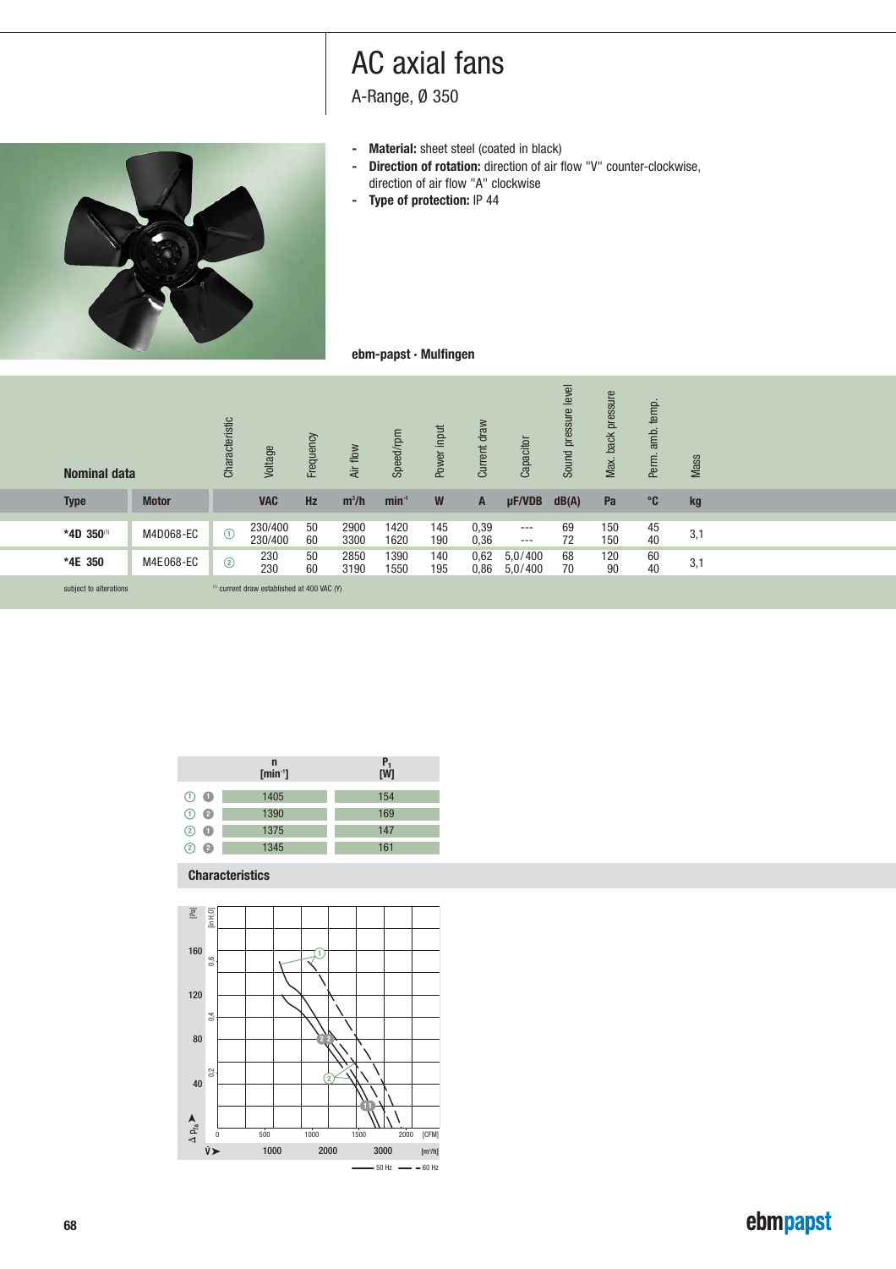A-Range, Ø 350

- 
- **- Material:** sheet steel (coated in black)<br>**- Direction of rotation:** direction of air f **- Direction of rotation:** direction of air flow "V" counter-clockwise, direction of air flow "A" clockwise
- **Type of protection:** IP 44



### **ebm-papst · Mulfingen**

| <b>Nominal data</b>    |                       | Characteristic | Voltage                                                | Frequency | Air flow     | Speed/rpm    | Power input | Current draw | Capacitor          | Sound pressure level | Max. back pressure | Perm. amb. temp.                        | Mass          |
|------------------------|-----------------------|----------------|--------------------------------------------------------|-----------|--------------|--------------|-------------|--------------|--------------------|----------------------|--------------------|-----------------------------------------|---------------|
| <b>Type</b>            | <b>Motor</b>          |                | <b>VAC</b>                                             | Hz        | $m^3/h$      | $min-1$      | ${\bf W}$   | A            | µF/VDB             | dB(A)                | Pa                 | $^{\circ}$ C                            | $\mathbf{kg}$ |
| *4D 350(1)             | M4D068-EC             | $\odot$        | 230/400<br>230/400                                     | 50<br>60  | 2900<br>3300 | 1420<br>1620 | 145<br>190  | 0,39<br>0,36 | $---$<br>$\cdots$  | 69<br>72             | 150<br>150         | 45<br>40                                | 3,1           |
| *4E 350                | M4E068-EC             | $\circled{2}$  | 230<br>230                                             | 50<br>60  | 2850<br>3190 | 1390<br>1550 | 140<br>195  | 0,62<br>0,86 | 5,0/400<br>5,0/400 | 68<br>70             | 120<br>90          | $\begin{array}{c} 60 \\ 40 \end{array}$ | 3,1           |
| subject to alterations |                       |                | <sup>(1)</sup> current draw established at 400 VAC (Y) |           |              |              |             |              |                    |                      |                    |                                         |               |
|                        |                       |                |                                                        |           |              |              |             |              |                    |                      |                    |                                         |               |
|                        |                       |                |                                                        |           |              |              |             |              |                    |                      |                    |                                         |               |
|                        |                       |                |                                                        |           |              |              |             |              |                    |                      |                    |                                         |               |
|                        |                       |                |                                                        |           |              |              |             |              |                    |                      |                    |                                         |               |
|                        |                       |                |                                                        |           |              |              |             |              |                    |                      |                    |                                         |               |
|                        |                       |                | $\mathbf n$<br>$[min-1]$                               |           |              | $P_1$<br>[W] |             |              |                    |                      |                    |                                         |               |
|                        | $\bigcirc$ $\bigcirc$ |                | 1405                                                   |           |              | 154          |             |              |                    |                      |                    |                                         |               |

|                 | $\mathsf{n}$<br>$[min-1]$ | $P_1$<br>[W] |  |  |  |  |  |
|-----------------|---------------------------|--------------|--|--|--|--|--|
| $(1)$ $\bullet$ | 1405                      | 154          |  |  |  |  |  |
|                 |                           |              |  |  |  |  |  |
| $\odot$ 2       | 1390                      | 169          |  |  |  |  |  |
| - 0<br>(2)      | 1375                      | 147          |  |  |  |  |  |
| 2<br>12         | 1345                      | 161          |  |  |  |  |  |

### **Characteristics**